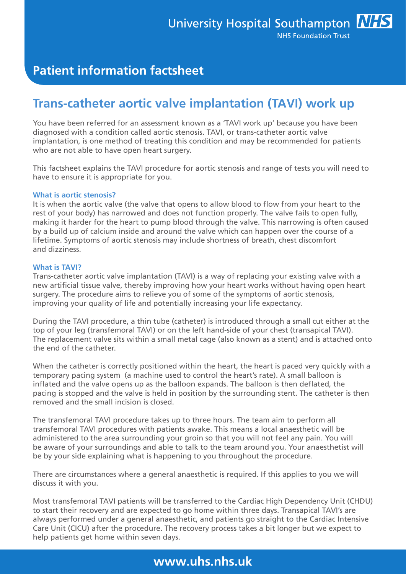# **Patient information factsheet**

# **Trans-catheter aortic valve implantation (TAVI) work up**

You have been referred for an assessment known as a 'TAVI work up' because you have been diagnosed with a condition called aortic stenosis. TAVI, or trans-catheter aortic valve implantation, is one method of treating this condition and may be recommended for patients who are not able to have open heart surgery.

This factsheet explains the TAVI procedure for aortic stenosis and range of tests you will need to have to ensure it is appropriate for you.

#### **What is aortic stenosis?**

It is when the aortic valve (the valve that opens to allow blood to flow from your heart to the rest of your body) has narrowed and does not function properly. The valve fails to open fully, making it harder for the heart to pump blood through the valve. This narrowing is often caused by a build up of calcium inside and around the valve which can happen over the course of a lifetime. Symptoms of aortic stenosis may include shortness of breath, chest discomfort and dizziness.

#### **What is TAVI?**

Trans-catheter aortic valve implantation (TAVI) is a way of replacing your existing valve with a new artificial tissue valve, thereby improving how your heart works without having open heart surgery. The procedure aims to relieve you of some of the symptoms of aortic stenosis, improving your quality of life and potentially increasing your life expectancy.

During the TAVI procedure, a thin tube (catheter) is introduced through a small cut either at the top of your leg (transfemoral TAVI) or on the left hand-side of your chest (transapical TAVI). The replacement valve sits within a small metal cage (also known as a stent) and is attached onto the end of the catheter.

When the catheter is correctly positioned within the heart, the heart is paced very quickly with a temporary pacing system (a machine used to control the heart's rate). A small balloon is inflated and the valve opens up as the balloon expands. The balloon is then deflated, the pacing is stopped and the valve is held in position by the surrounding stent. The catheter is then removed and the small incision is closed.

The transfemoral TAVI procedure takes up to three hours. The team aim to perform all transfemoral TAVI procedures with patients awake. This means a local anaesthetic will be administered to the area surrounding your groin so that you will not feel any pain. You will be aware of your surroundings and able to talk to the team around you. Your anaesthetist will be by your side explaining what is happening to you throughout the procedure.

There are circumstances where a general anaesthetic is required. If this applies to you we will discuss it with you.

Most transfemoral TAVI patients will be transferred to the Cardiac High Dependency Unit (CHDU) to start their recovery and are expected to go home within three days. Transapical TAVI's are always performed under a general anaesthetic, and patients go straight to the Cardiac Intensive Care Unit (CICU) after the procedure. The recovery process takes a bit longer but we expect to help patients get home within seven days.

## **www.uhs.nhs.uk**